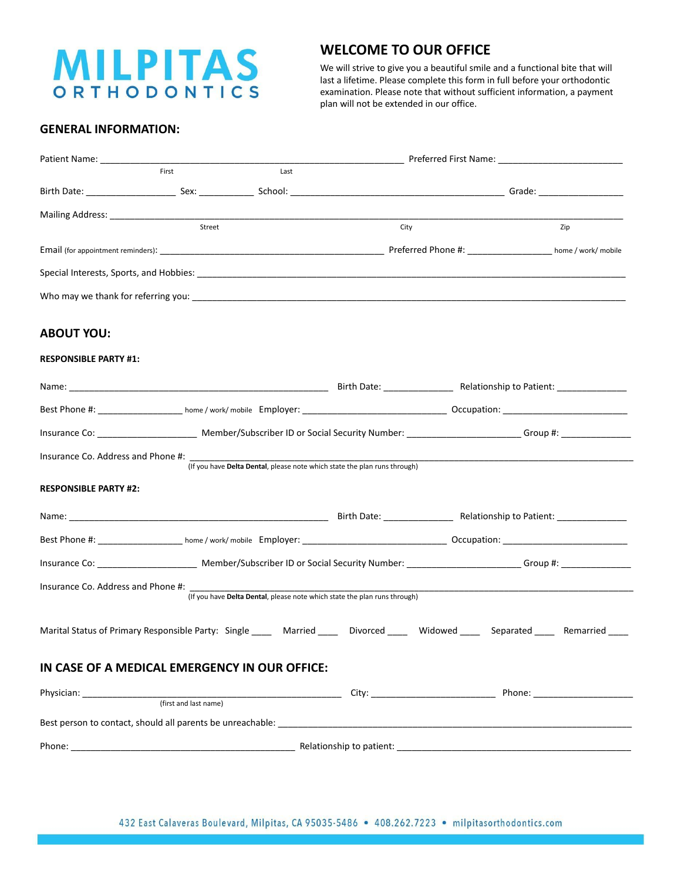

## **WELCOME TO OUR OFFICE**

We will strive to give you a beautiful smile and a functional bite that will last a lifetime. Please complete this form in full before your orthodontic examination. Please note that without sufficient information, a payment plan will not be extended in our office.

## **GENERAL INFORMATION:**

| Patient Name: _________________                                                                                                                                                                                                |                       |      |                                                                                   |  |     |  |  |
|--------------------------------------------------------------------------------------------------------------------------------------------------------------------------------------------------------------------------------|-----------------------|------|-----------------------------------------------------------------------------------|--|-----|--|--|
|                                                                                                                                                                                                                                | First                 | Last |                                                                                   |  |     |  |  |
|                                                                                                                                                                                                                                |                       |      |                                                                                   |  |     |  |  |
| Mailing Address: Note that the state of the state of the state of the state of the state of the state of the state of the state of the state of the state of the state of the state of the state of the state of the state of  |                       |      |                                                                                   |  |     |  |  |
|                                                                                                                                                                                                                                | Street                |      | City                                                                              |  | Zip |  |  |
|                                                                                                                                                                                                                                |                       |      |                                                                                   |  |     |  |  |
| Special Interests, Sports, and Hobbies: Space Space Space Space Space Space Space Space Space Space Space Space Space Space Space Space Space Space Space Space Space Space Space Space Space Space Space Space Space Space Sp |                       |      |                                                                                   |  |     |  |  |
|                                                                                                                                                                                                                                |                       |      |                                                                                   |  |     |  |  |
| <b>ABOUT YOU:</b>                                                                                                                                                                                                              |                       |      |                                                                                   |  |     |  |  |
| <b>RESPONSIBLE PARTY #1:</b>                                                                                                                                                                                                   |                       |      |                                                                                   |  |     |  |  |
|                                                                                                                                                                                                                                |                       |      |                                                                                   |  |     |  |  |
|                                                                                                                                                                                                                                |                       |      |                                                                                   |  |     |  |  |
|                                                                                                                                                                                                                                |                       |      |                                                                                   |  |     |  |  |
| Insurance Co. Address and Phone #: _______________                                                                                                                                                                             |                       |      | (If you have Delta Dental, please note which state the plan runs through)         |  |     |  |  |
| <b>RESPONSIBLE PARTY #2:</b>                                                                                                                                                                                                   |                       |      |                                                                                   |  |     |  |  |
|                                                                                                                                                                                                                                |                       |      |                                                                                   |  |     |  |  |
|                                                                                                                                                                                                                                |                       |      |                                                                                   |  |     |  |  |
|                                                                                                                                                                                                                                |                       |      |                                                                                   |  |     |  |  |
| Insurance Co. Address and Phone #:                                                                                                                                                                                             |                       |      | (If you have <b>Delta Dental</b> , please note which state the plan runs through) |  |     |  |  |
| Marital Status of Primary Responsible Party: Single ____ Married ____ Divorced ____ Widowed ____ Separated ___ Remarried ___                                                                                                   |                       |      |                                                                                   |  |     |  |  |
| IN CASE OF A MEDICAL EMERGENCY IN OUR OFFICE:                                                                                                                                                                                  |                       |      |                                                                                   |  |     |  |  |
|                                                                                                                                                                                                                                |                       |      |                                                                                   |  |     |  |  |
|                                                                                                                                                                                                                                | (first and last name) |      |                                                                                   |  |     |  |  |
|                                                                                                                                                                                                                                |                       |      |                                                                                   |  |     |  |  |
|                                                                                                                                                                                                                                |                       |      |                                                                                   |  |     |  |  |